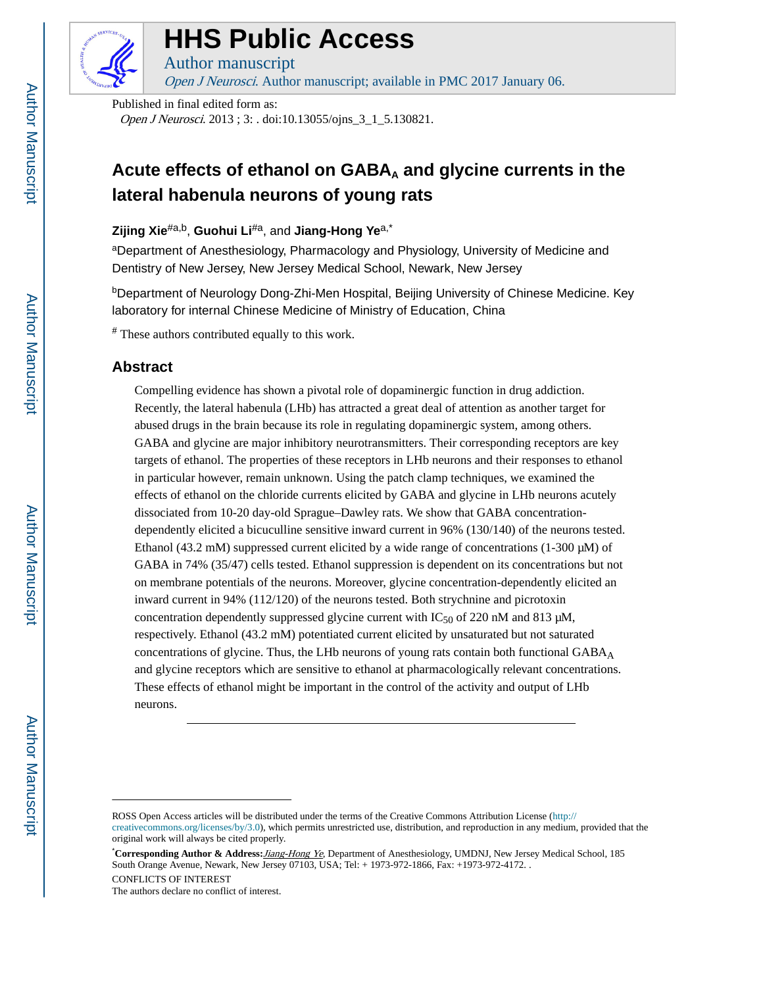

# **HHS Public Access**

Author manuscript Open J Neurosci. Author manuscript; available in PMC 2017 January 06.

Published in final edited form as: Open J Neurosci. 2013 ; 3: . doi:10.13055/ojns\_3\_1\_5.130821.

## Acute effects of ethanol on GABA<sub>A</sub> and glycine currents in the **lateral habenula neurons of young rats**

**Zijing Xie**#a,b, **Guohui Li**#a, and **Jiang-Hong Ye**a,\*

aDepartment of Anesthesiology, Pharmacology and Physiology, University of Medicine and Dentistry of New Jersey, New Jersey Medical School, Newark, New Jersey

<sup>b</sup>Department of Neurology Dong-Zhi-Men Hospital, Beijing University of Chinese Medicine. Key laboratory for internal Chinese Medicine of Ministry of Education, China

# These authors contributed equally to this work.

## **Abstract**

Compelling evidence has shown a pivotal role of dopaminergic function in drug addiction. Recently, the lateral habenula (LHb) has attracted a great deal of attention as another target for abused drugs in the brain because its role in regulating dopaminergic system, among others. GABA and glycine are major inhibitory neurotransmitters. Their corresponding receptors are key targets of ethanol. The properties of these receptors in LHb neurons and their responses to ethanol in particular however, remain unknown. Using the patch clamp techniques, we examined the effects of ethanol on the chloride currents elicited by GABA and glycine in LHb neurons acutely dissociated from 10-20 day-old Sprague–Dawley rats. We show that GABA concentrationdependently elicited a bicuculline sensitive inward current in 96% (130/140) of the neurons tested. Ethanol (43.2 mM) suppressed current elicited by a wide range of concentrations (1-300 μM) of GABA in 74% (35/47) cells tested. Ethanol suppression is dependent on its concentrations but not on membrane potentials of the neurons. Moreover, glycine concentration-dependently elicited an inward current in 94% (112/120) of the neurons tested. Both strychnine and picrotoxin concentration dependently suppressed glycine current with  $IC_{50}$  of 220 nM and 813  $\mu$ M, respectively. Ethanol (43.2 mM) potentiated current elicited by unsaturated but not saturated concentrations of glycine. Thus, the LHb neurons of young rats contain both functional  $GABA_A$ and glycine receptors which are sensitive to ethanol at pharmacologically relevant concentrations. These effects of ethanol might be important in the control of the activity and output of LHb neurons.

ROSS Open Access articles will be distributed under the terms of the Creative Commons Attribution License ([http://](http://creativecommons.org/licenses/by/3.0) [creativecommons.org/licenses/by/3.0\)](http://creativecommons.org/licenses/by/3.0), which permits unrestricted use, distribution, and reproduction in any medium, provided that the original work will always be cited properly.

<sup>\*</sup>**Corresponding Author & Address:**Jiang-Hong Ye, Department of Anesthesiology, UMDNJ, New Jersey Medical School, 185 South Orange Avenue, Newark, New Jersey 07103, USA; Tel: + 1973-972-1866, Fax: +1973-972-4172. . CONFLICTS OF INTEREST

The authors declare no conflict of interest.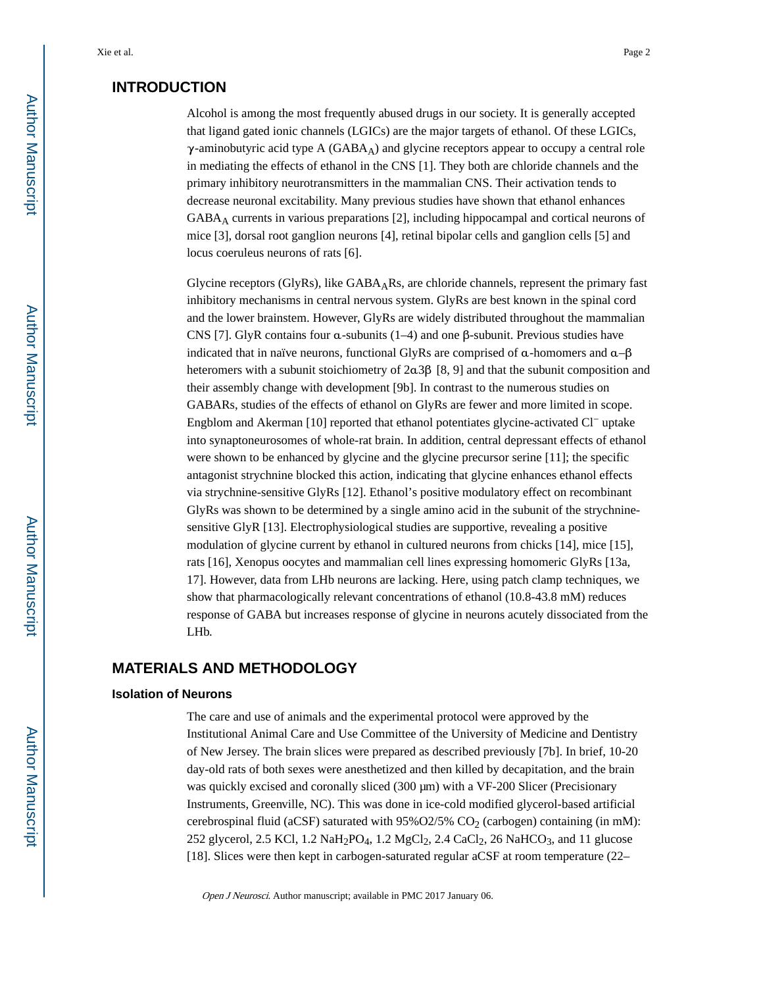## **INTRODUCTION**

Alcohol is among the most frequently abused drugs in our society. It is generally accepted that ligand gated ionic channels (LGICs) are the major targets of ethanol. Of these LGICs,  $\gamma$ -aminobutyric acid type A (GABA<sub>A</sub>) and glycine receptors appear to occupy a central role in mediating the effects of ethanol in the CNS [1]. They both are chloride channels and the primary inhibitory neurotransmitters in the mammalian CNS. Their activation tends to decrease neuronal excitability. Many previous studies have shown that ethanol enhances GABAA currents in various preparations [2], including hippocampal and cortical neurons of mice [3], dorsal root ganglion neurons [4], retinal bipolar cells and ganglion cells [5] and locus coeruleus neurons of rats [6].

Glycine receptors (GlyRs), like  $GABA<sub>A</sub>Rs$ , are chloride channels, represent the primary fast inhibitory mechanisms in central nervous system. GlyRs are best known in the spinal cord and the lower brainstem. However, GlyRs are widely distributed throughout the mammalian CNS [7]. GlyR contains four α-subunits  $(1-4)$  and one β-subunit. Previous studies have indicated that in naïve neurons, functional GlyRs are comprised of  $\alpha$ -homomers and  $\alpha$ - $\beta$ heteromers with a subunit stoichiometry of 2α3β [8, 9] and that the subunit composition and their assembly change with development [9b]. In contrast to the numerous studies on GABARs, studies of the effects of ethanol on GlyRs are fewer and more limited in scope. Engblom and Akerman [10] reported that ethanol potentiates glycine-activated Cl− uptake into synaptoneurosomes of whole-rat brain. In addition, central depressant effects of ethanol were shown to be enhanced by glycine and the glycine precursor serine [11]; the specific antagonist strychnine blocked this action, indicating that glycine enhances ethanol effects via strychnine-sensitive GlyRs [12]. Ethanol's positive modulatory effect on recombinant GlyRs was shown to be determined by a single amino acid in the subunit of the strychninesensitive GlyR [13]. Electrophysiological studies are supportive, revealing a positive modulation of glycine current by ethanol in cultured neurons from chicks [14], mice [15], rats [16], Xenopus oocytes and mammalian cell lines expressing homomeric GlyRs [13a, 17]. However, data from LHb neurons are lacking. Here, using patch clamp techniques, we show that pharmacologically relevant concentrations of ethanol (10.8-43.8 mM) reduces response of GABA but increases response of glycine in neurons acutely dissociated from the LHb.

## **MATERIALS AND METHODOLOGY**

#### **Isolation of Neurons**

The care and use of animals and the experimental protocol were approved by the Institutional Animal Care and Use Committee of the University of Medicine and Dentistry of New Jersey. The brain slices were prepared as described previously [7b]. In brief, 10-20 day-old rats of both sexes were anesthetized and then killed by decapitation, and the brain was quickly excised and coronally sliced (300 μm) with a VF-200 Slicer (Precisionary Instruments, Greenville, NC). This was done in ice-cold modified glycerol-based artificial cerebrospinal fluid (aCSF) saturated with  $95\%O2/5\%$  CO<sub>2</sub> (carbogen) containing (in mM): 252 glycerol, 2.5 KCl, 1.2 NaH<sub>2</sub>PO<sub>4</sub>, 1.2 MgCl<sub>2</sub>, 2.4 CaCl<sub>2</sub>, 26 NaHCO<sub>3</sub>, and 11 glucose [18]. Slices were then kept in carbogen-saturated regular aCSF at room temperature (22–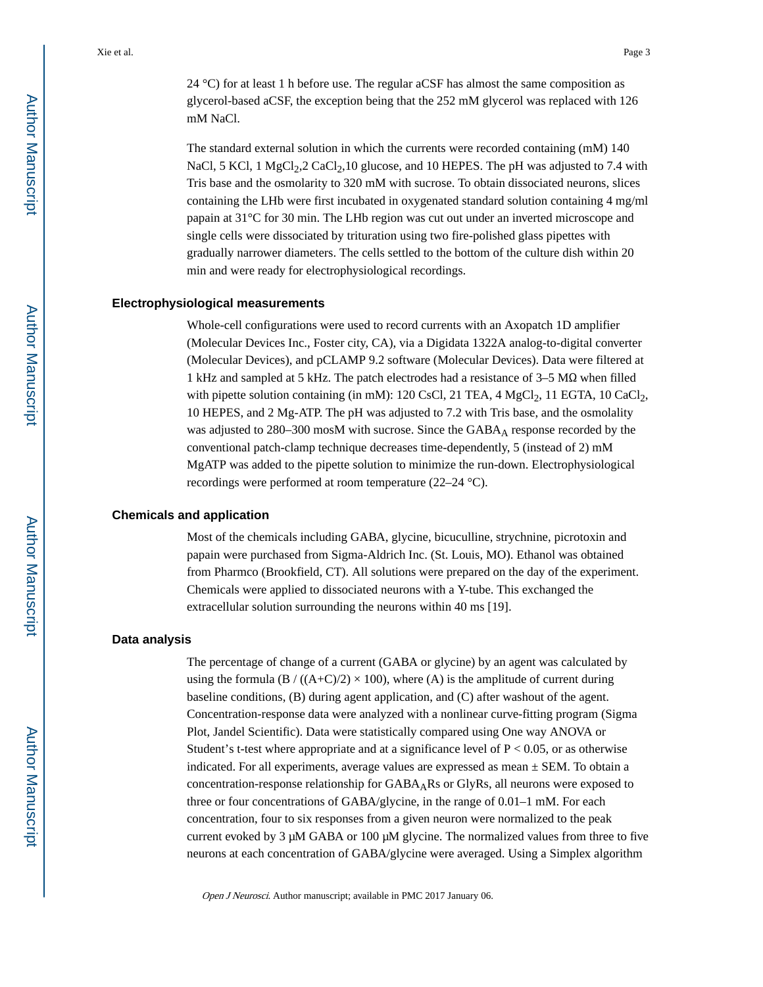24 °C) for at least 1 h before use. The regular aCSF has almost the same composition as glycerol-based aCSF, the exception being that the 252 mM glycerol was replaced with 126 mM NaCl.

The standard external solution in which the currents were recorded containing (mM) 140 NaCl, 5 KCl, 1 MgCl<sub>2</sub>, 2 CaCl<sub>2</sub>, 10 glucose, and 10 HEPES. The pH was adjusted to 7.4 with Tris base and the osmolarity to 320 mM with sucrose. To obtain dissociated neurons, slices containing the LHb were first incubated in oxygenated standard solution containing 4 mg/ml papain at 31°C for 30 min. The LHb region was cut out under an inverted microscope and single cells were dissociated by trituration using two fire-polished glass pipettes with gradually narrower diameters. The cells settled to the bottom of the culture dish within 20 min and were ready for electrophysiological recordings.

#### **Electrophysiological measurements**

Whole-cell configurations were used to record currents with an Axopatch 1D amplifier (Molecular Devices Inc., Foster city, CA), via a Digidata 1322A analog-to-digital converter (Molecular Devices), and pCLAMP 9.2 software (Molecular Devices). Data were filtered at 1 kHz and sampled at 5 kHz. The patch electrodes had a resistance of 3–5 MΩ when filled with pipette solution containing (in mM): 120 CsCl, 21 TEA, 4 MgCl<sub>2</sub>, 11 EGTA, 10 CaCl<sub>2</sub>, 10 HEPES, and 2 Mg-ATP. The pH was adjusted to 7.2 with Tris base, and the osmolality was adjusted to 280–300 mosM with sucrose. Since the GABA<sub>A</sub> response recorded by the conventional patch-clamp technique decreases time-dependently, 5 (instead of 2) mM MgATP was added to the pipette solution to minimize the run-down. Electrophysiological recordings were performed at room temperature (22–24 °C).

#### **Chemicals and application**

Most of the chemicals including GABA, glycine, bicuculline, strychnine, picrotoxin and papain were purchased from Sigma-Aldrich Inc. (St. Louis, MO). Ethanol was obtained from Pharmco (Brookfield, CT). All solutions were prepared on the day of the experiment. Chemicals were applied to dissociated neurons with a Y-tube. This exchanged the extracellular solution surrounding the neurons within 40 ms [19].

#### **Data analysis**

The percentage of change of a current (GABA or glycine) by an agent was calculated by using the formula (B / ((A+C)/2)  $\times$  100), where (A) is the amplitude of current during baseline conditions, (B) during agent application, and (C) after washout of the agent. Concentration-response data were analyzed with a nonlinear curve-fitting program (Sigma Plot, Jandel Scientific). Data were statistically compared using One way ANOVA or Student's t-test where appropriate and at a significance level of  $P < 0.05$ , or as otherwise indicated. For all experiments, average values are expressed as mean  $\pm$  SEM. To obtain a concentration-response relationship for  $GABA<sub>A</sub>Rs$  or GlyRs, all neurons were exposed to three or four concentrations of GABA/glycine, in the range of 0.01–1 mM. For each concentration, four to six responses from a given neuron were normalized to the peak current evoked by 3  $\mu$ M GABA or 100  $\mu$ M glycine. The normalized values from three to five neurons at each concentration of GABA/glycine were averaged. Using a Simplex algorithm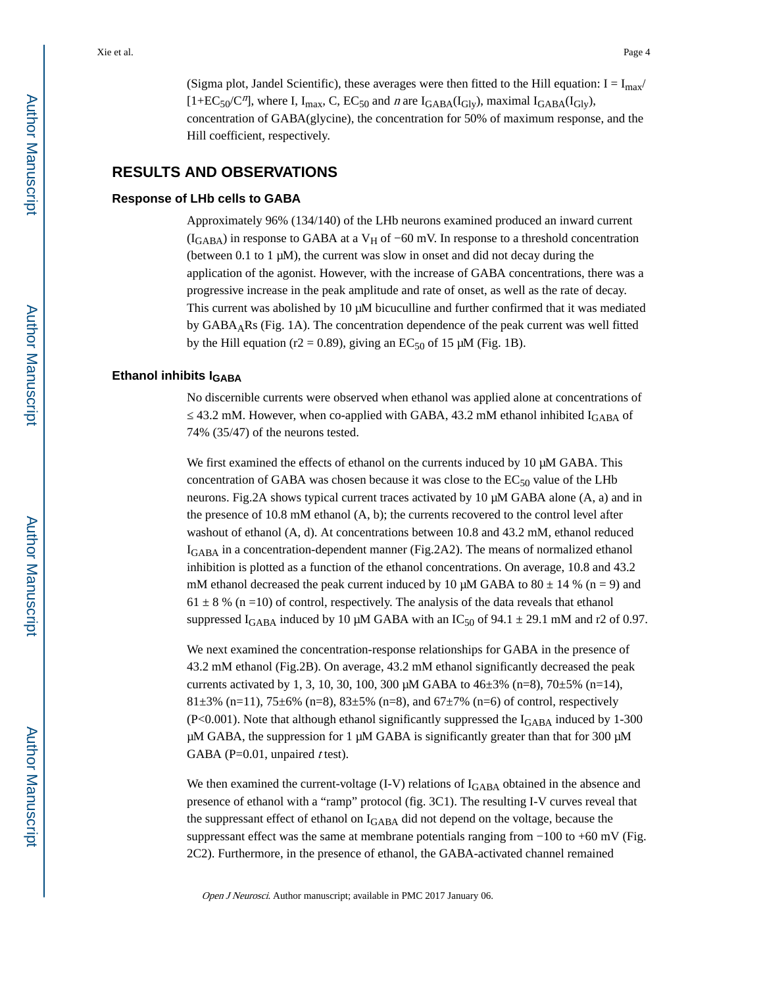(Sigma plot, Jandel Scientific), these averages were then fitted to the Hill equation:  $I = I_{max}/$  $[1+EC_{50}/C^{n}]$ , where I, I<sub>max</sub>, C, EC<sub>50</sub> and *n* are I<sub>GABA</sub>(I<sub>Gly</sub>), maximal I<sub>GABA</sub>(I<sub>Gly</sub>), concentration of GABA(glycine), the concentration for 50% of maximum response, and the Hill coefficient, respectively.

## **RESULTS AND OBSERVATIONS**

#### **Response of LHb cells to GABA**

Approximately 96% (134/140) of the LHb neurons examined produced an inward current ( $I_{GABA}$ ) in response to GABA at a V<sub>H</sub> of −60 mV. In response to a threshold concentration (between 0.1 to 1  $\mu$ M), the current was slow in onset and did not decay during the application of the agonist. However, with the increase of GABA concentrations, there was a progressive increase in the peak amplitude and rate of onset, as well as the rate of decay. This current was abolished by 10 μM bicuculline and further confirmed that it was mediated by GABAARs (Fig. 1A). The concentration dependence of the peak current was well fitted by the Hill equation (r2 = 0.89), giving an  $EC_{50}$  of 15  $\mu$ M (Fig. 1B).

#### **Ethanol inhibits IGABA**

No discernible currents were observed when ethanol was applied alone at concentrations of 43.2 mM. However, when co-applied with GABA, 43.2 mM ethanol inhibited  $I_{\rm GABA}$  of 74% (35/47) of the neurons tested.

We first examined the effects of ethanol on the currents induced by 10 μM GABA. This concentration of GABA was chosen because it was close to the  $EC_{50}$  value of the LHb neurons. Fig.2A shows typical current traces activated by 10 μM GABA alone (A, a) and in the presence of 10.8 mM ethanol (A, b); the currents recovered to the control level after washout of ethanol (A, d). At concentrations between 10.8 and 43.2 mM, ethanol reduced IGABA in a concentration-dependent manner (Fig.2A2). The means of normalized ethanol inhibition is plotted as a function of the ethanol concentrations. On average, 10.8 and 43.2 mM ethanol decreased the peak current induced by 10  $\mu$ M GABA to 80  $\pm$  14 % (n = 9) and  $61 \pm 8$  % (n =10) of control, respectively. The analysis of the data reveals that ethanol suppressed  $I_{\rm GABA}$  induced by 10 µM GABA with an  $IC_{50}$  of 94.1  $\pm$  29.1 mM and r2 of 0.97.

We next examined the concentration-response relationships for GABA in the presence of 43.2 mM ethanol (Fig.2B). On average, 43.2 mM ethanol significantly decreased the peak currents activated by 1, 3, 10, 30, 100, 300 μM GABA to  $46\pm3\%$  (n=8),  $70\pm5\%$  (n=14), 81 $\pm$ 3% (n=11), 75 $\pm$ 6% (n=8), 83 $\pm$ 5% (n=8), and 67 $\pm$ 7% (n=6) of control, respectively (P<0.001). Note that although ethanol significantly suppressed the  $I_{\text{GABA}}$  induced by 1-300 μM GABA, the suppression for 1 μM GABA is significantly greater than that for 300 μM GABA (P=0.01, unpaired *t* test).

We then examined the current-voltage  $(I-V)$  relations of  $I_{GABA}$  obtained in the absence and presence of ethanol with a "ramp" protocol (fig. 3C1). The resulting I-V curves reveal that the suppressant effect of ethanol on  $I_{\rm GABA}$  did not depend on the voltage, because the suppressant effect was the same at membrane potentials ranging from −100 to +60 mV (Fig. 2C2). Furthermore, in the presence of ethanol, the GABA-activated channel remained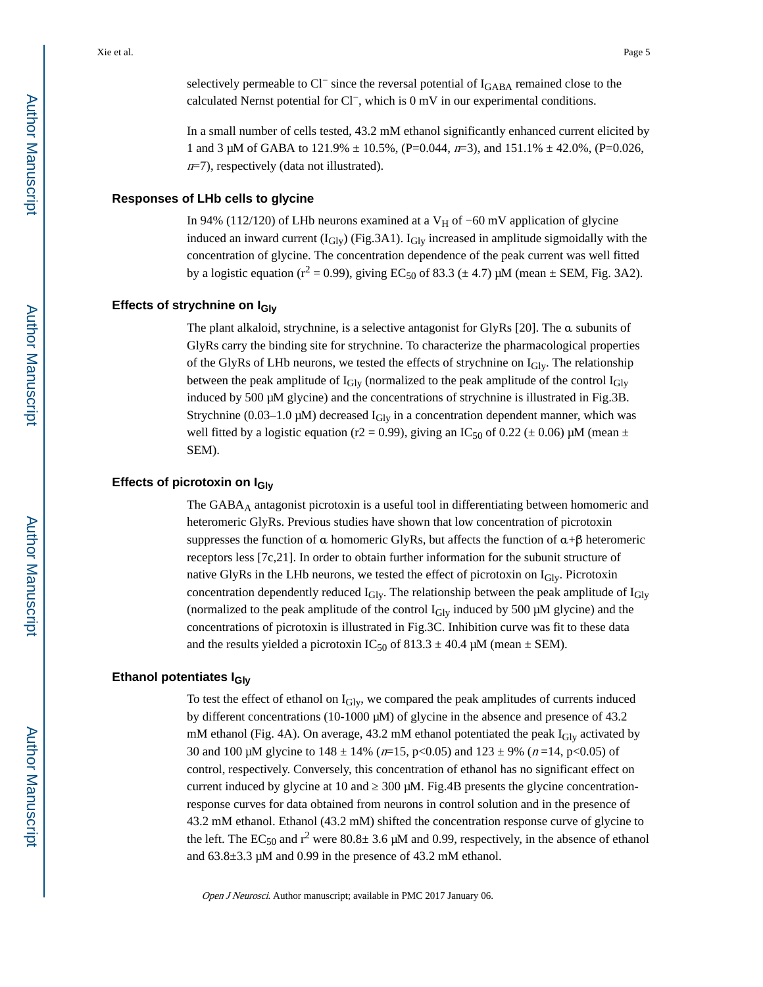selectively permeable to Cl<sup>−</sup> since the reversal potential of I<sub>GABA</sub> remained close to the calculated Nernst potential for Cl−, which is 0 mV in our experimental conditions.

In a small number of cells tested, 43.2 mM ethanol significantly enhanced current elicited by 1 and 3 μM of GABA to 121.9%  $\pm$  10.5%, (P=0.044, π=3), and 151.1%  $\pm$  42.0%, (P=0.026,  $n=7$ ), respectively (data not illustrated).

#### **Responses of LHb cells to glycine**

In 94% (112/120) of LHb neurons examined at a V<sub>H</sub> of −60 mV application of glycine induced an inward current  $(I_{\text{Gly}})$  (Fig.3A1).  $I_{\text{Gly}}$  increased in amplitude sigmoidally with the concentration of glycine. The concentration dependence of the peak current was well fitted by a logistic equation ( $r^2 = 0.99$ ), giving EC<sub>50</sub> of 83.3 ( $\pm$  4.7)  $\mu$ M (mean  $\pm$  SEM, Fig. 3A2).

#### **Effects of strychnine on IGly**

The plant alkaloid, strychnine, is a selective antagonist for GlyRs [20]. The α subunits of GlyRs carry the binding site for strychnine. To characterize the pharmacological properties of the GlyRs of LHb neurons, we tested the effects of strychnine on  $I_{\text{Gly}}$ . The relationship between the peak amplitude of  $I_{\text{Glv}}$  (normalized to the peak amplitude of the control  $I_{\text{Glv}}$ induced by 500 μM glycine) and the concentrations of strychnine is illustrated in Fig.3B. Strychnine (0.03–1.0  $\mu$ M) decreased I<sub>Gly</sub> in a concentration dependent manner, which was well fitted by a logistic equation (r2 = 0.99), giving an IC<sub>50</sub> of 0.22 ( $\pm$  0.06)  $\mu$ M (mean  $\pm$ SEM).

#### **Effects of picrotoxin on IGly**

The GABAA antagonist picrotoxin is a useful tool in differentiating between homomeric and heteromeric GlyRs. Previous studies have shown that low concentration of picrotoxin suppresses the function of  $\alpha$  homomeric GlyRs, but affects the function of  $\alpha + \beta$  heteromeric receptors less [7c,21]. In order to obtain further information for the subunit structure of native GlyRs in the LHb neurons, we tested the effect of picrotoxin on  $I_{\text{Gly}}$ . Picrotoxin concentration dependently reduced  $I_{\text{Gly}}$ . The relationship between the peak amplitude of  $I_{\text{Gly}}$ (normalized to the peak amplitude of the control  $I<sub>Gly</sub>$  induced by 500  $\mu$ M glycine) and the concentrations of picrotoxin is illustrated in Fig.3C. Inhibition curve was fit to these data and the results yielded a picrotoxin IC<sub>50</sub> of 813.3  $\pm$  40.4 μM (mean  $\pm$  SEM).

#### **Ethanol potentiates IGly**

To test the effect of ethanol on  $I_{\text{Gly}}$ , we compared the peak amplitudes of currents induced by different concentrations (10-1000 μM) of glycine in the absence and presence of 43.2 mM ethanol (Fig. 4A). On average, 43.2 mM ethanol potentiated the peak  $I_{\text{Gly}}$  activated by 30 and 100 μM glycine to  $148 \pm 14\%$  ( $n=15$ ,  $p<0.05$ ) and  $123 \pm 9\%$  ( $n=14$ ,  $p<0.05$ ) of control, respectively. Conversely, this concentration of ethanol has no significant effect on current induced by glycine at 10 and  $\,$  300  $\mu$ M. Fig.4B presents the glycine concentrationresponse curves for data obtained from neurons in control solution and in the presence of 43.2 mM ethanol. Ethanol (43.2 mM) shifted the concentration response curve of glycine to the left. The  $EC_{50}$  and  $r^2$  were  $80.8\pm 3.6$   $\mu$ M and 0.99, respectively, in the absence of ethanol and 63.8±3.3 μM and 0.99 in the presence of 43.2 mM ethanol.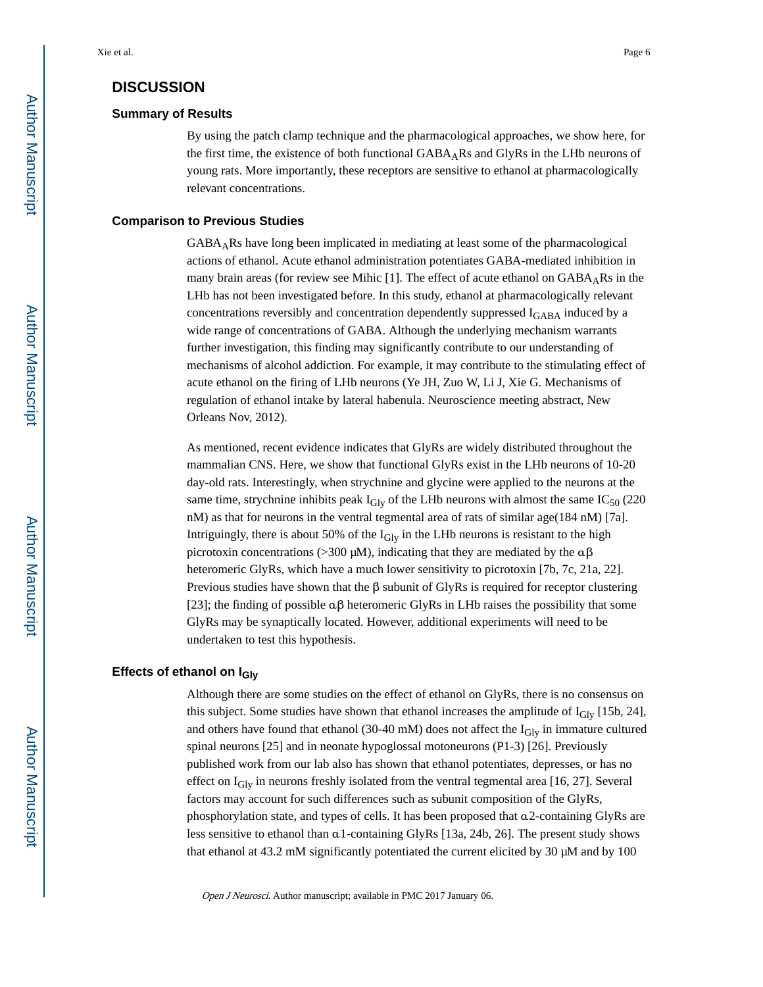## **DISCUSSION**

#### **Summary of Results**

By using the patch clamp technique and the pharmacological approaches, we show here, for the first time, the existence of both functional  $GABA<sub>A</sub>Rs$  and GlyRs in the LHb neurons of young rats. More importantly, these receptors are sensitive to ethanol at pharmacologically relevant concentrations.

#### **Comparison to Previous Studies**

GABAARs have long been implicated in mediating at least some of the pharmacological actions of ethanol. Acute ethanol administration potentiates GABA-mediated inhibition in many brain areas (for review see Mihic [1]. The effect of acute ethanol on  $GABA<sub>A</sub>Rs$  in the LHb has not been investigated before. In this study, ethanol at pharmacologically relevant concentrations reversibly and concentration dependently suppressed IGABA induced by a wide range of concentrations of GABA. Although the underlying mechanism warrants further investigation, this finding may significantly contribute to our understanding of mechanisms of alcohol addiction. For example, it may contribute to the stimulating effect of acute ethanol on the firing of LHb neurons (Ye JH, Zuo W, Li J, Xie G. Mechanisms of regulation of ethanol intake by lateral habenula. Neuroscience meeting abstract, New Orleans Nov, 2012).

As mentioned, recent evidence indicates that GlyRs are widely distributed throughout the mammalian CNS. Here, we show that functional GlyRs exist in the LHb neurons of 10-20 day-old rats. Interestingly, when strychnine and glycine were applied to the neurons at the same time, strychnine inhibits peak  $I_{\text{Glv}}$  of the LHb neurons with almost the same IC<sub>50</sub> (220) nM) as that for neurons in the ventral tegmental area of rats of similar age(184 nM) [7a]. Intriguingly, there is about 50% of the  $I<sub>Gly</sub>$  in the LHb neurons is resistant to the high picrotoxin concentrations (>300 μM), indicating that they are mediated by the  $\alpha\beta$ heteromeric GlyRs, which have a much lower sensitivity to picrotoxin [7b, 7c, 21a, 22]. Previous studies have shown that the  $\beta$  subunit of GlyRs is required for receptor clustering [23]; the finding of possible  $\alpha\beta$  heteromeric GlyRs in LHb raises the possibility that some GlyRs may be synaptically located. However, additional experiments will need to be undertaken to test this hypothesis.

## **Effects of ethanol on IGly**

Although there are some studies on the effect of ethanol on GlyRs, there is no consensus on this subject. Some studies have shown that ethanol increases the amplitude of  $I<sub>Gly</sub>$  [15b, 24], and others have found that ethanol (30-40 mM) does not affect the  $I_{\text{Gly}}$  in immature cultured spinal neurons [25] and in neonate hypoglossal motoneurons (P1-3) [26]. Previously published work from our lab also has shown that ethanol potentiates, depresses, or has no effect on  $I_{\text{Gly}}$  in neurons freshly isolated from the ventral tegmental area [16, 27]. Several factors may account for such differences such as subunit composition of the GlyRs, phosphorylation state, and types of cells. It has been proposed that α2-containing GlyRs are less sensitive to ethanol than α1-containing GlyRs [13a, 24b, 26]. The present study shows that ethanol at 43.2 mM significantly potentiated the current elicited by 30 μM and by 100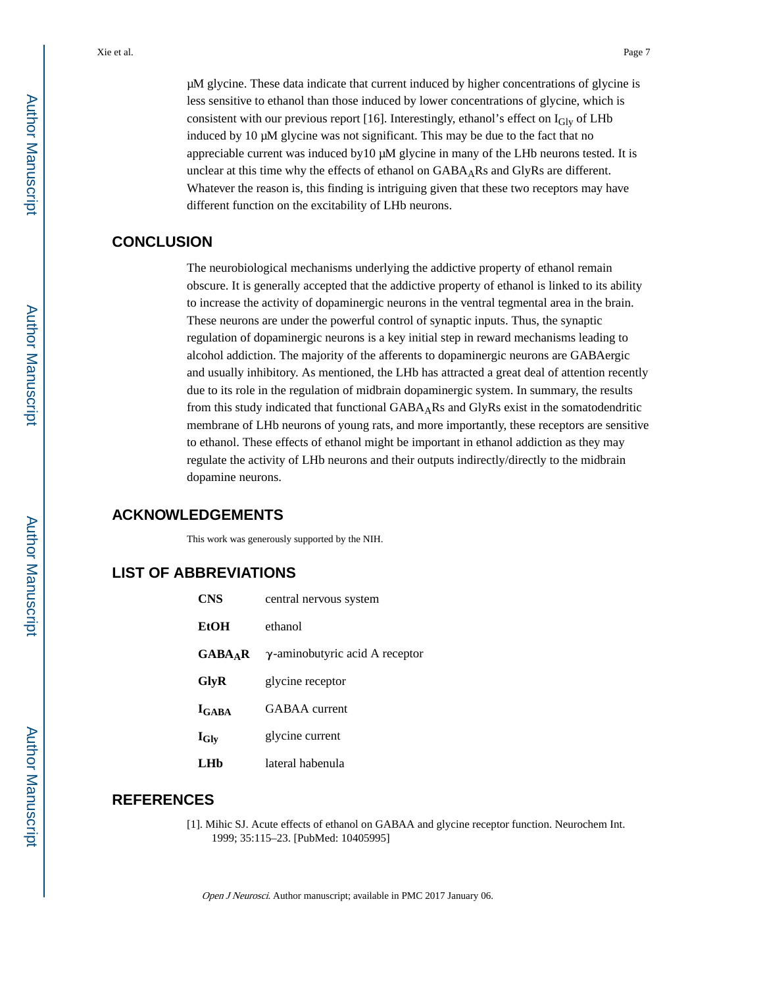μM glycine. These data indicate that current induced by higher concentrations of glycine is less sensitive to ethanol than those induced by lower concentrations of glycine, which is consistent with our previous report [16]. Interestingly, ethanol's effect on  $I_{\text{Glv}}$  of LHb induced by 10 μM glycine was not significant. This may be due to the fact that no appreciable current was induced by10 μM glycine in many of the LHb neurons tested. It is unclear at this time why the effects of ethanol on  $GABA_AR$ s and  $GlyRs$  are different. Whatever the reason is, this finding is intriguing given that these two receptors may have different function on the excitability of LHb neurons.

## **CONCLUSION**

The neurobiological mechanisms underlying the addictive property of ethanol remain obscure. It is generally accepted that the addictive property of ethanol is linked to its ability to increase the activity of dopaminergic neurons in the ventral tegmental area in the brain. These neurons are under the powerful control of synaptic inputs. Thus, the synaptic regulation of dopaminergic neurons is a key initial step in reward mechanisms leading to alcohol addiction. The majority of the afferents to dopaminergic neurons are GABAergic and usually inhibitory. As mentioned, the LHb has attracted a great deal of attention recently due to its role in the regulation of midbrain dopaminergic system. In summary, the results from this study indicated that functional GABAARs and GlyRs exist in the somatodendritic membrane of LHb neurons of young rats, and more importantly, these receptors are sensitive to ethanol. These effects of ethanol might be important in ethanol addiction as they may regulate the activity of LHb neurons and their outputs indirectly/directly to the midbrain dopamine neurons.

## **ACKNOWLEDGEMENTS**

This work was generously supported by the NIH.

## **LIST OF ABBREVIATIONS**

| CNS                 | central nervous system                 |
|---------------------|----------------------------------------|
| <b>EtOH</b>         | ethanol                                |
| GABA <sub>A</sub> R | $\gamma$ -aminobutyric acid A receptor |
| GlyR                | glycine receptor                       |
| $I_{\rm GABA}$      | GABAA current                          |
| $I_{\text{Gly}}$    | glycine current                        |
| I .Hh               | lateral habenula                       |

## **REFERENCES**

[1]. Mihic SJ. Acute effects of ethanol on GABAA and glycine receptor function. Neurochem Int. 1999; 35:115–23. [PubMed: 10405995]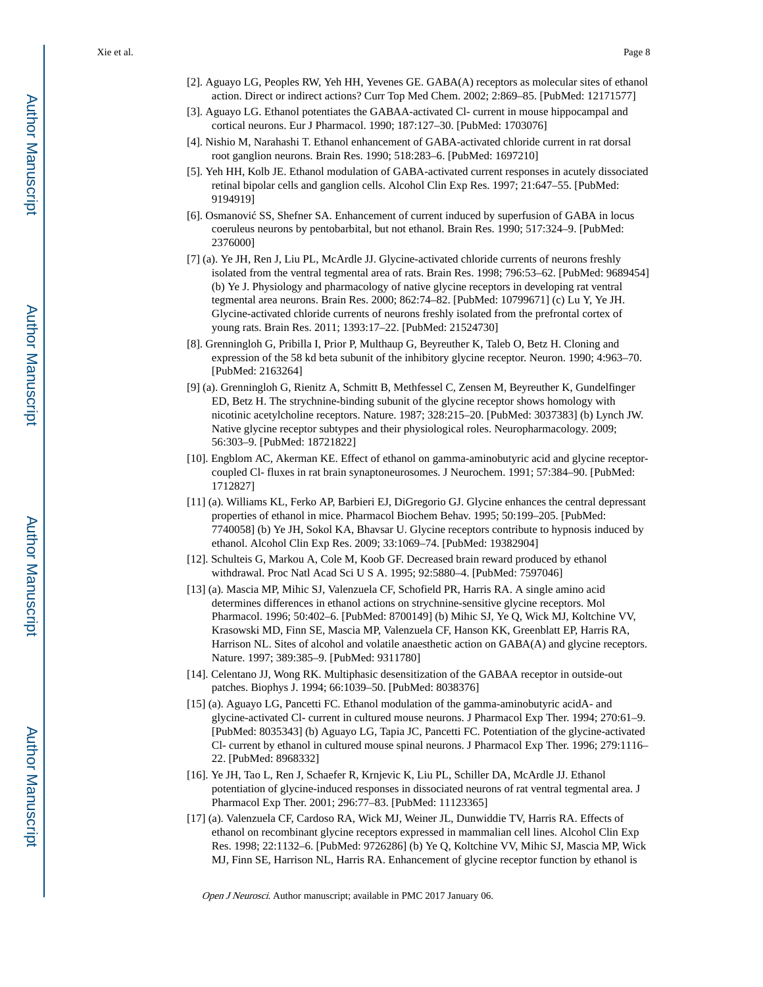- [2]. Aguayo LG, Peoples RW, Yeh HH, Yevenes GE. GABA(A) receptors as molecular sites of ethanol action. Direct or indirect actions? Curr Top Med Chem. 2002; 2:869–85. [PubMed: 12171577]
- [3]. Aguayo LG. Ethanol potentiates the GABAA-activated Cl- current in mouse hippocampal and cortical neurons. Eur J Pharmacol. 1990; 187:127–30. [PubMed: 1703076]
- [4]. Nishio M, Narahashi T. Ethanol enhancement of GABA-activated chloride current in rat dorsal root ganglion neurons. Brain Res. 1990; 518:283–6. [PubMed: 1697210]
- [5]. Yeh HH, Kolb JE. Ethanol modulation of GABA-activated current responses in acutely dissociated retinal bipolar cells and ganglion cells. Alcohol Clin Exp Res. 1997; 21:647–55. [PubMed: 9194919]
- [6]. Osmanovi SS, Shefner SA. Enhancement of current induced by superfusion of GABA in locus coeruleus neurons by pentobarbital, but not ethanol. Brain Res. 1990; 517:324–9. [PubMed: 2376000]
- [7] (a). Ye JH, Ren J, Liu PL, McArdle JJ. Glycine-activated chloride currents of neurons freshly isolated from the ventral tegmental area of rats. Brain Res. 1998; 796:53–62. [PubMed: 9689454] (b) Ye J. Physiology and pharmacology of native glycine receptors in developing rat ventral tegmental area neurons. Brain Res. 2000; 862:74–82. [PubMed: 10799671] (c) Lu Y, Ye JH. Glycine-activated chloride currents of neurons freshly isolated from the prefrontal cortex of young rats. Brain Res. 2011; 1393:17–22. [PubMed: 21524730]
- [8]. Grenningloh G, Pribilla I, Prior P, Multhaup G, Beyreuther K, Taleb O, Betz H. Cloning and expression of the 58 kd beta subunit of the inhibitory glycine receptor. Neuron. 1990; 4:963–70. [PubMed: 2163264]
- [9] (a). Grenningloh G, Rienitz A, Schmitt B, Methfessel C, Zensen M, Beyreuther K, Gundelfinger ED, Betz H. The strychnine-binding subunit of the glycine receptor shows homology with nicotinic acetylcholine receptors. Nature. 1987; 328:215–20. [PubMed: 3037383] (b) Lynch JW. Native glycine receptor subtypes and their physiological roles. Neuropharmacology. 2009; 56:303–9. [PubMed: 18721822]
- [10]. Engblom AC, Akerman KE. Effect of ethanol on gamma-aminobutyric acid and glycine receptorcoupled Cl- fluxes in rat brain synaptoneurosomes. J Neurochem. 1991; 57:384–90. [PubMed: 1712827]
- [11] (a). Williams KL, Ferko AP, Barbieri EJ, DiGregorio GJ. Glycine enhances the central depressant properties of ethanol in mice. Pharmacol Biochem Behav. 1995; 50:199–205. [PubMed: 7740058] (b) Ye JH, Sokol KA, Bhavsar U. Glycine receptors contribute to hypnosis induced by ethanol. Alcohol Clin Exp Res. 2009; 33:1069–74. [PubMed: 19382904]
- [12]. Schulteis G, Markou A, Cole M, Koob GF. Decreased brain reward produced by ethanol withdrawal. Proc Natl Acad Sci U S A. 1995; 92:5880–4. [PubMed: 7597046]
- [13] (a). Mascia MP, Mihic SJ, Valenzuela CF, Schofield PR, Harris RA. A single amino acid determines differences in ethanol actions on strychnine-sensitive glycine receptors. Mol Pharmacol. 1996; 50:402–6. [PubMed: 8700149] (b) Mihic SJ, Ye Q, Wick MJ, Koltchine VV, Krasowski MD, Finn SE, Mascia MP, Valenzuela CF, Hanson KK, Greenblatt EP, Harris RA, Harrison NL. Sites of alcohol and volatile anaesthetic action on GABA(A) and glycine receptors. Nature. 1997; 389:385–9. [PubMed: 9311780]
- [14]. Celentano JJ, Wong RK. Multiphasic desensitization of the GABAA receptor in outside-out patches. Biophys J. 1994; 66:1039–50. [PubMed: 8038376]
- [15] (a). Aguayo LG, Pancetti FC. Ethanol modulation of the gamma-aminobutyric acidA- and glycine-activated Cl- current in cultured mouse neurons. J Pharmacol Exp Ther. 1994; 270:61–9. [PubMed: 8035343] (b) Aguayo LG, Tapia JC, Pancetti FC. Potentiation of the glycine-activated Cl- current by ethanol in cultured mouse spinal neurons. J Pharmacol Exp Ther. 1996; 279:1116– 22. [PubMed: 8968332]
- [16]. Ye JH, Tao L, Ren J, Schaefer R, Krnjevic K, Liu PL, Schiller DA, McArdle JJ. Ethanol potentiation of glycine-induced responses in dissociated neurons of rat ventral tegmental area. J Pharmacol Exp Ther. 2001; 296:77–83. [PubMed: 11123365]
- [17] (a). Valenzuela CF, Cardoso RA, Wick MJ, Weiner JL, Dunwiddie TV, Harris RA. Effects of ethanol on recombinant glycine receptors expressed in mammalian cell lines. Alcohol Clin Exp Res. 1998; 22:1132–6. [PubMed: 9726286] (b) Ye Q, Koltchine VV, Mihic SJ, Mascia MP, Wick MJ, Finn SE, Harrison NL, Harris RA. Enhancement of glycine receptor function by ethanol is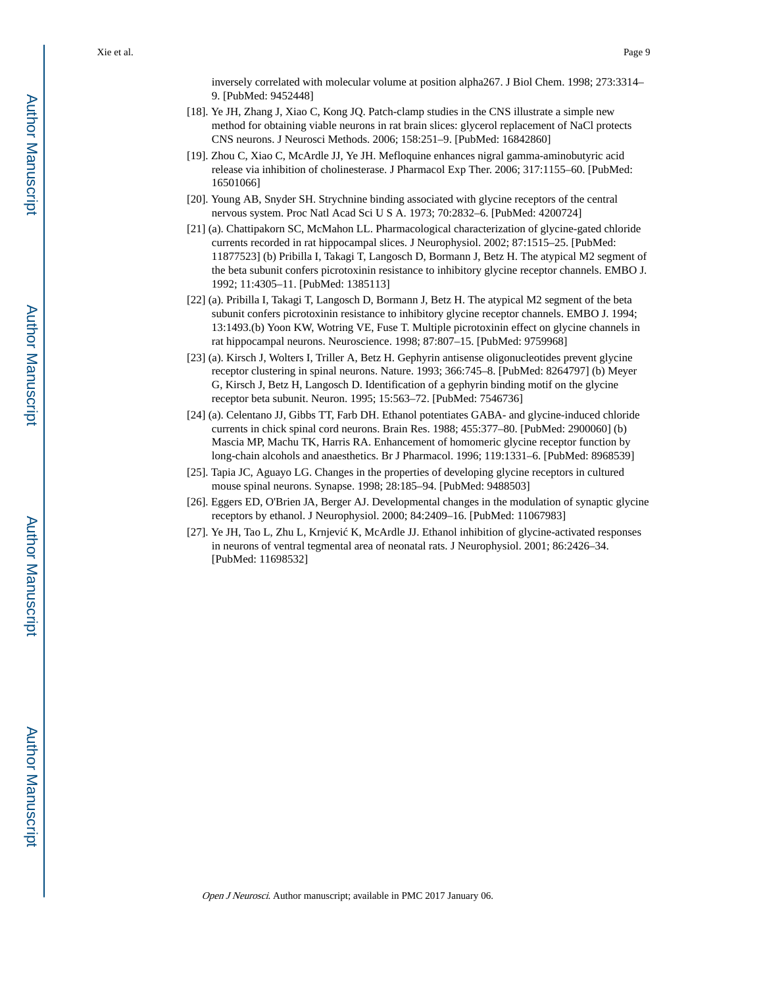inversely correlated with molecular volume at position alpha267. J Biol Chem. 1998; 273:3314– 9. [PubMed: 9452448]

- [18]. Ye JH, Zhang J, Xiao C, Kong JQ. Patch-clamp studies in the CNS illustrate a simple new method for obtaining viable neurons in rat brain slices: glycerol replacement of NaCl protects CNS neurons. J Neurosci Methods. 2006; 158:251–9. [PubMed: 16842860]
- [19]. Zhou C, Xiao C, McArdle JJ, Ye JH. Mefloquine enhances nigral gamma-aminobutyric acid release via inhibition of cholinesterase. J Pharmacol Exp Ther. 2006; 317:1155–60. [PubMed: 16501066]
- [20]. Young AB, Snyder SH. Strychnine binding associated with glycine receptors of the central nervous system. Proc Natl Acad Sci U S A. 1973; 70:2832–6. [PubMed: 4200724]
- [21] (a). Chattipakorn SC, McMahon LL. Pharmacological characterization of glycine-gated chloride currents recorded in rat hippocampal slices. J Neurophysiol. 2002; 87:1515–25. [PubMed: 11877523] (b) Pribilla I, Takagi T, Langosch D, Bormann J, Betz H. The atypical M2 segment of the beta subunit confers picrotoxinin resistance to inhibitory glycine receptor channels. EMBO J. 1992; 11:4305–11. [PubMed: 1385113]
- [22] (a). Pribilla I, Takagi T, Langosch D, Bormann J, Betz H. The atypical M2 segment of the beta subunit confers picrotoxinin resistance to inhibitory glycine receptor channels. EMBO J. 1994; 13:1493.(b) Yoon KW, Wotring VE, Fuse T. Multiple picrotoxinin effect on glycine channels in rat hippocampal neurons. Neuroscience. 1998; 87:807–15. [PubMed: 9759968]
- [23] (a). Kirsch J, Wolters I, Triller A, Betz H. Gephyrin antisense oligonucleotides prevent glycine receptor clustering in spinal neurons. Nature. 1993; 366:745–8. [PubMed: 8264797] (b) Meyer G, Kirsch J, Betz H, Langosch D. Identification of a gephyrin binding motif on the glycine receptor beta subunit. Neuron. 1995; 15:563–72. [PubMed: 7546736]
- [24] (a). Celentano JJ, Gibbs TT, Farb DH. Ethanol potentiates GABA- and glycine-induced chloride currents in chick spinal cord neurons. Brain Res. 1988; 455:377–80. [PubMed: 2900060] (b) Mascia MP, Machu TK, Harris RA. Enhancement of homomeric glycine receptor function by long-chain alcohols and anaesthetics. Br J Pharmacol. 1996; 119:1331–6. [PubMed: 8968539]
- [25]. Tapia JC, Aguayo LG. Changes in the properties of developing glycine receptors in cultured mouse spinal neurons. Synapse. 1998; 28:185–94. [PubMed: 9488503]
- [26]. Eggers ED, O'Brien JA, Berger AJ. Developmental changes in the modulation of synaptic glycine receptors by ethanol. J Neurophysiol. 2000; 84:2409–16. [PubMed: 11067983]
- [27]. Ye JH, Tao L, Zhu L, Krnjevi K, McArdle JJ. Ethanol inhibition of glycine-activated responses in neurons of ventral tegmental area of neonatal rats. J Neurophysiol. 2001; 86:2426–34. [PubMed: 11698532]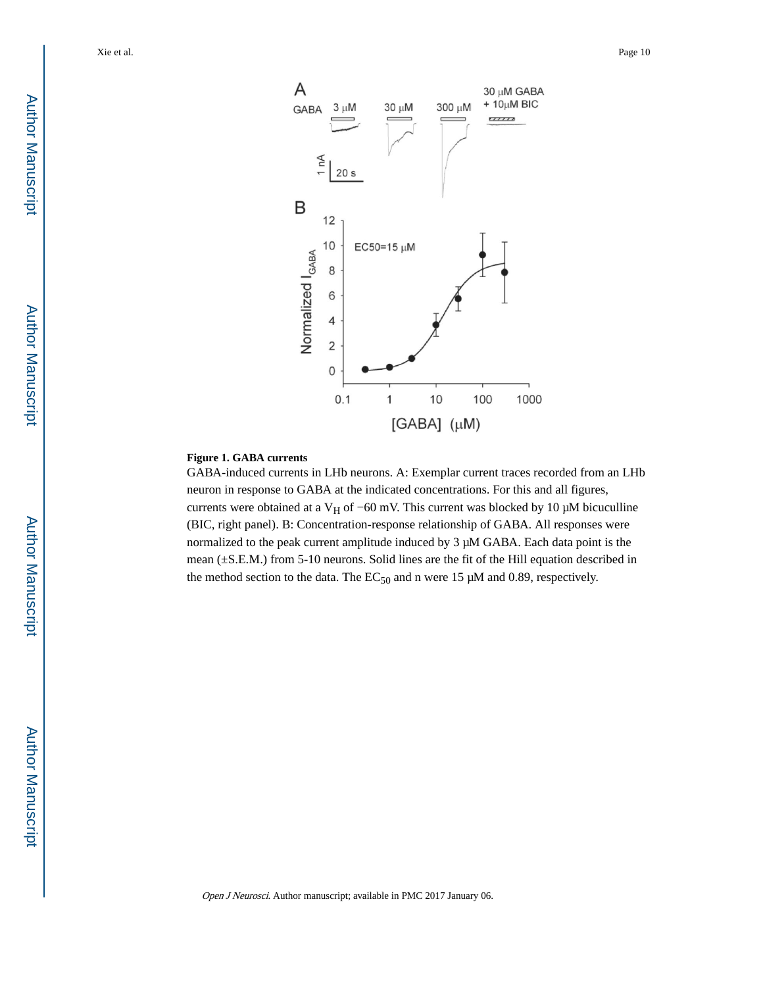

#### **Figure 1. GABA currents**

GABA-induced currents in LHb neurons. A: Exemplar current traces recorded from an LHb neuron in response to GABA at the indicated concentrations. For this and all figures, currents were obtained at a V<sub>H</sub> of −60 mV. This current was blocked by 10 µM bicuculline (BIC, right panel). B: Concentration-response relationship of GABA. All responses were normalized to the peak current amplitude induced by 3 μM GABA. Each data point is the mean (±S.E.M.) from 5-10 neurons. Solid lines are the fit of the Hill equation described in the method section to the data. The  $EC_{50}$  and n were 15  $\mu$ M and 0.89, respectively.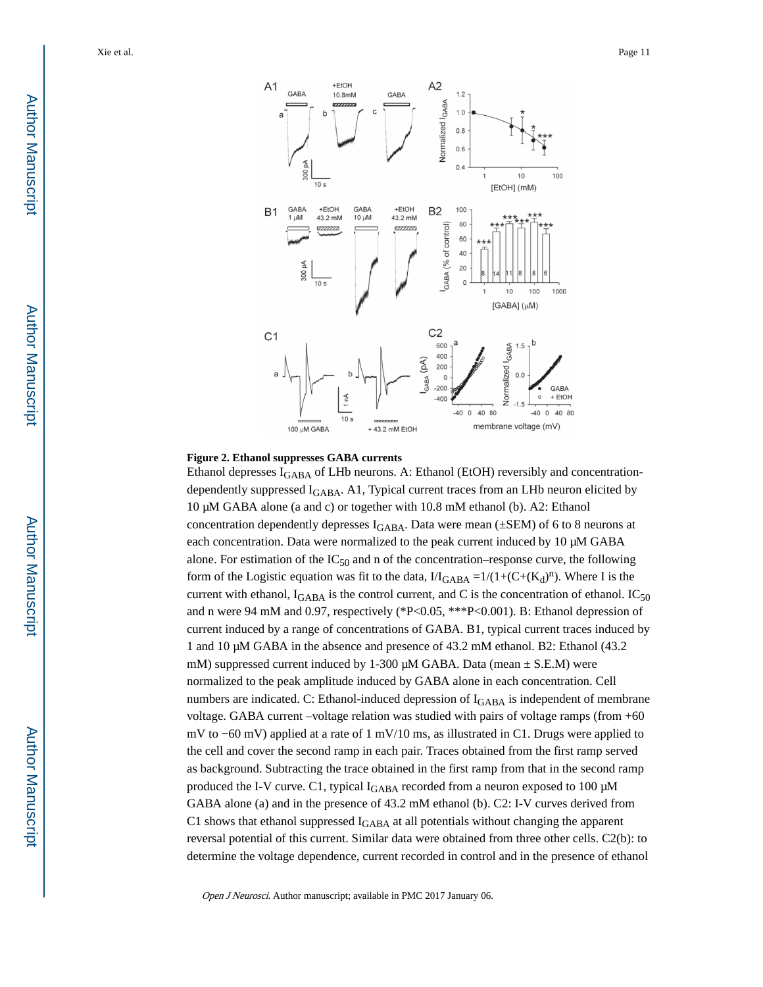

#### **Figure 2. Ethanol suppresses GABA currents**

Ethanol depresses  $I_{\text{GABA}}$  of LHb neurons. A: Ethanol (EtOH) reversibly and concentrationdependently suppressed I<sub>GABA</sub>. A1, Typical current traces from an LHb neuron elicited by 10 μM GABA alone (a and c) or together with 10.8 mM ethanol (b). A2: Ethanol concentration dependently depresses  $I_{GABA}$ . Data were mean ( $\pm$ SEM) of 6 to 8 neurons at each concentration. Data were normalized to the peak current induced by 10 μM GABA alone. For estimation of the  $IC_{50}$  and n of the concentration–response curve, the following form of the Logistic equation was fit to the data,  $1/I_{\text{GABA}} = 1/(1 + (C + (K_d)^n))$ . Where I is the current with ethanol,  $I_{\text{GABA}}$  is the control current, and C is the concentration of ethanol.  $IC_{50}$ and n were 94 mM and 0.97, respectively (\*P<0.05, \*\*\*P<0.001). B: Ethanol depression of current induced by a range of concentrations of GABA. B1, typical current traces induced by 1 and 10 μM GABA in the absence and presence of 43.2 mM ethanol. B2: Ethanol (43.2 mM) suppressed current induced by 1-300 μM GABA. Data (mean  $\pm$  S.E.M) were normalized to the peak amplitude induced by GABA alone in each concentration. Cell numbers are indicated. C: Ethanol-induced depression of  $I_{\text{GABA}}$  is independent of membrane voltage. GABA current –voltage relation was studied with pairs of voltage ramps (from +60 mV to −60 mV) applied at a rate of 1 mV/10 ms, as illustrated in C1. Drugs were applied to the cell and cover the second ramp in each pair. Traces obtained from the first ramp served as background. Subtracting the trace obtained in the first ramp from that in the second ramp produced the I-V curve. C1, typical IGABA recorded from a neuron exposed to 100 μM GABA alone (a) and in the presence of 43.2 mM ethanol (b). C2: I-V curves derived from C1 shows that ethanol suppressed I<sub>GABA</sub> at all potentials without changing the apparent reversal potential of this current. Similar data were obtained from three other cells. C2(b): to determine the voltage dependence, current recorded in control and in the presence of ethanol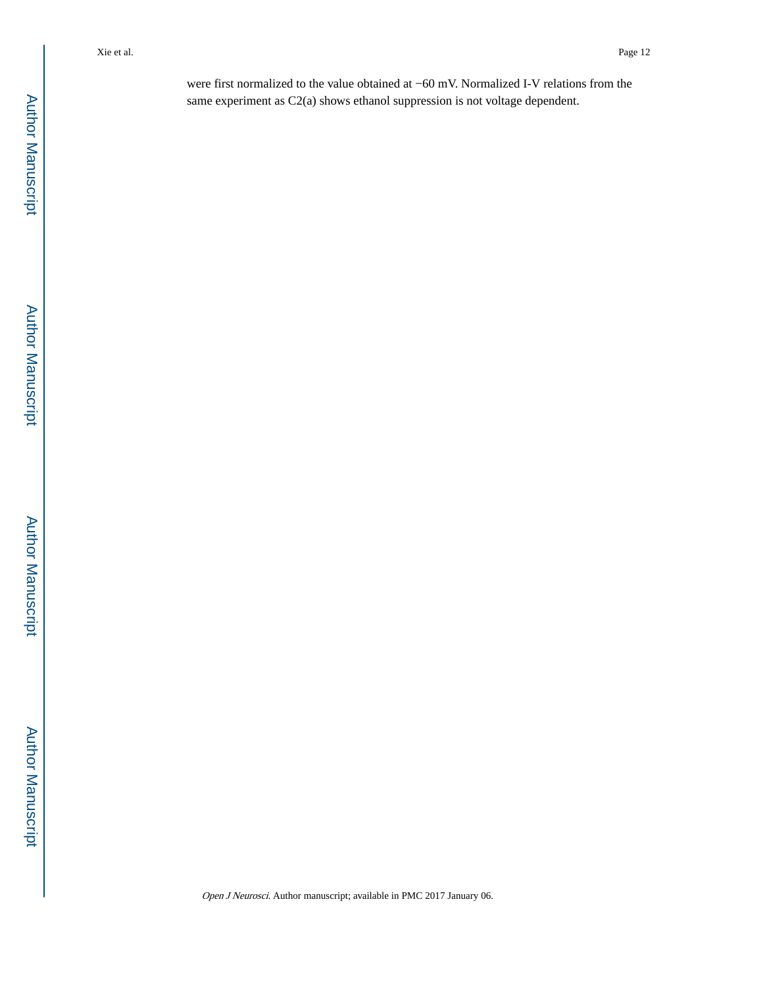were first normalized to the value obtained at −60 mV. Normalized I-V relations from the same experiment as C2(a) shows ethanol suppression is not voltage dependent.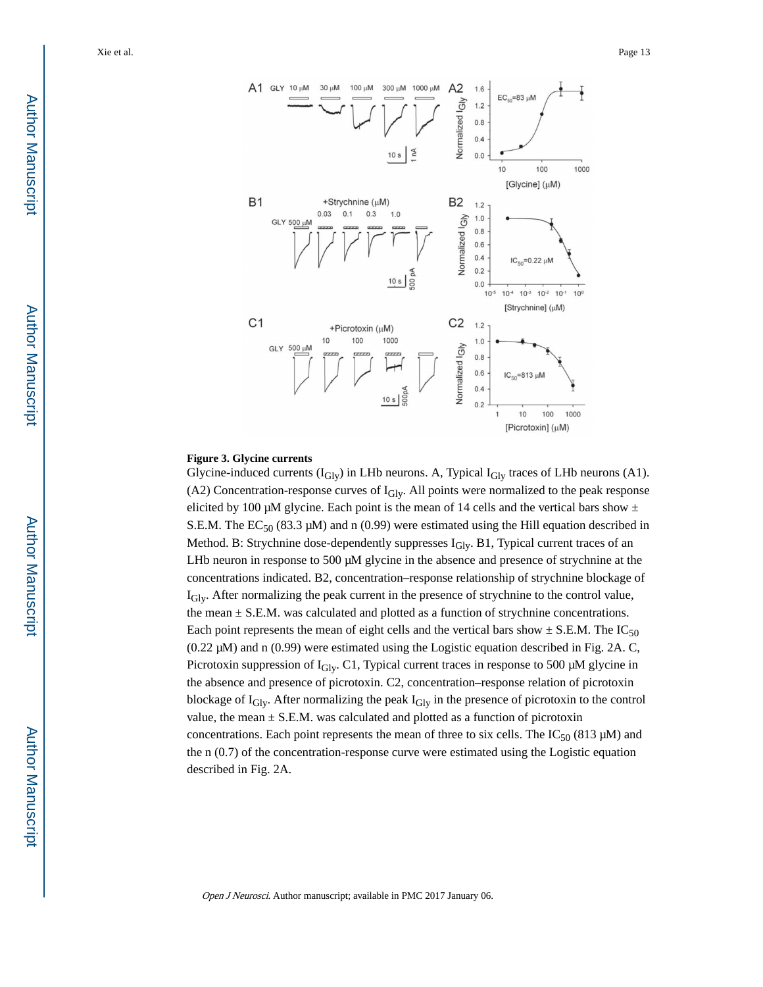

#### **Figure 3. Glycine currents**

Glycine-induced currents  $(I_{\text{Gly}})$  in LHb neurons. A, Typical  $I_{\text{Gly}}$  traces of LHb neurons (A1). (A2) Concentration-response curves of IGly. All points were normalized to the peak response elicited by 100 μM glycine. Each point is the mean of 14 cells and the vertical bars show  $±$ S.E.M. The  $EC_{50}$  (83.3 µM) and n (0.99) were estimated using the Hill equation described in Method. B: Strychnine dose-dependently suppresses  $I<sub>Gly</sub>$ . B1, Typical current traces of an LHb neuron in response to 500 μM glycine in the absence and presence of strychnine at the concentrations indicated. B2, concentration–response relationship of strychnine blockage of IGly. After normalizing the peak current in the presence of strychnine to the control value, the mean  $\pm$  S.E.M. was calculated and plotted as a function of strychnine concentrations. Each point represents the mean of eight cells and the vertical bars show  $\pm$  S.E.M. The IC<sub>50</sub> (0.22 μM) and n (0.99) were estimated using the Logistic equation described in Fig. 2A. C, Picrotoxin suppression of  $I_{\text{Gly}}$ . C1, Typical current traces in response to 500  $\mu$ M glycine in the absence and presence of picrotoxin. C2, concentration–response relation of picrotoxin blockage of I<sub>Gly</sub>. After normalizing the peak I<sub>Gly</sub> in the presence of picrotoxin to the control value, the mean  $\pm$  S.E.M. was calculated and plotted as a function of picrotoxin concentrations. Each point represents the mean of three to six cells. The  $IC_{50}$  (813 µM) and the n (0.7) of the concentration-response curve were estimated using the Logistic equation described in Fig. 2A.